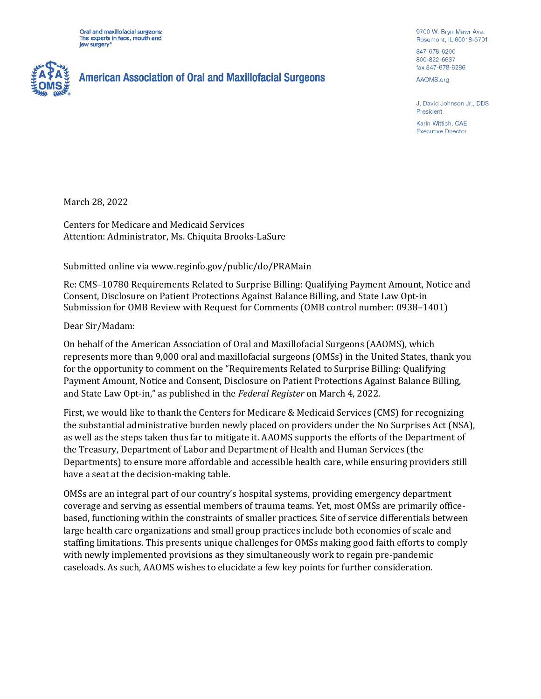Oral and maxillofacial surgeons: The experts in face, mouth and law surgery<sup>®</sup>



9700 W. Bryn Mawr Ave. Rosemont, IL 60018-5701

847-678-6200 800-822-6637 fax 847-678-6286

AAOMS.org

J. David Johnson Jr., DDS President

Karin Wittich, CAE **Executive Director** 

March 28, 2022

Centers for Medicare and Medicaid Services Attention: Administrator, Ms. Chiquita Brooks-LaSure

Submitted online via www.reginfo.gov/public/do/PRAMain

Re: CMS–10780 Requirements Related to Surprise Billing: Qualifying Payment Amount, Notice and Consent, Disclosure on Patient Protections Against Balance Billing, and State Law Opt-in Submission for OMB Review with Request for Comments (OMB control number: 0938–1401)

Dear Sir/Madam:

On behalf of the American Association of Oral and Maxillofacial Surgeons (AAOMS), which represents more than 9,000 oral and maxillofacial surgeons (OMSs) in the United States, thank you for the opportunity to comment on the "Requirements Related to Surprise Billing: Qualifying Payment Amount, Notice and Consent, Disclosure on Patient Protections Against Balance Billing, and State Law Opt-in," as published in the *Federal Register* on March 4, 2022.

First, we would like to thank the Centers for Medicare & Medicaid Services (CMS) for recognizing the substantial administrative burden newly placed on providers under the No Surprises Act (NSA), as well as the steps taken thus far to mitigate it. AAOMS supports the efforts of the Department of the Treasury, Department of Labor and Department of Health and Human Services (the Departments) to ensure more affordable and accessible health care, while ensuring providers still have a seat at the decision-making table.

OMSs are an integral part of our country's hospital systems, providing emergency department coverage and serving as essential members of trauma teams. Yet, most OMSs are primarily officebased, functioning within the constraints of smaller practices. Site of service differentials between large health care organizations and small group practices include both economies of scale and staffing limitations. This presents unique challenges for OMSs making good faith efforts to comply with newly implemented provisions as they simultaneously work to regain pre-pandemic caseloads. As such, AAOMS wishes to elucidate a few key points for further consideration.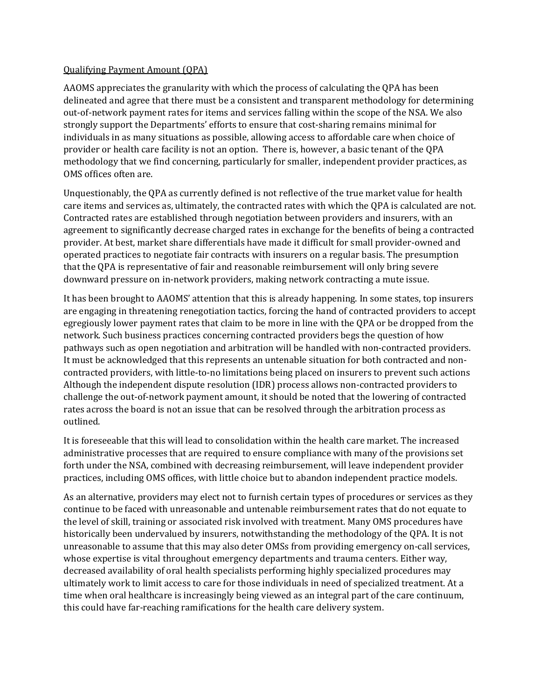## Qualifying Payment Amount (QPA)

AAOMS appreciates the granularity with which the process of calculating the QPA has been delineated and agree that there must be a consistent and transparent methodology for determining out-of-network payment rates for items and services falling within the scope of the NSA. We also strongly support the Departments' efforts to ensure that cost-sharing remains minimal for individuals in as many situations as possible, allowing access to affordable care when choice of provider or health care facility is not an option. There is, however, a basic tenant of the QPA methodology that we find concerning, particularly for smaller, independent provider practices, as OMS offices often are.

Unquestionably, the QPA as currently defined is not reflective of the true market value for health care items and services as, ultimately, the contracted rates with which the QPA is calculated are not. Contracted rates are established through negotiation between providers and insurers, with an agreement to significantly decrease charged rates in exchange for the benefits of being a contracted provider. At best, market share differentials have made it difficult for small provider-owned and operated practices to negotiate fair contracts with insurers on a regular basis. The presumption that the QPA is representative of fair and reasonable reimbursement will only bring severe downward pressure on in-network providers, making network contracting a mute issue.

It has been brought to AAOMS' attention that this is already happening. In some states, top insurers are engaging in threatening renegotiation tactics, forcing the hand of contracted providers to accept egregiously lower payment rates that claim to be more in line with the QPA or be dropped from the network. Such business practices concerning contracted providers begs the question of how pathways such as open negotiation and arbitration will be handled with non-contracted providers. It must be acknowledged that this represents an untenable situation for both contracted and noncontracted providers, with little-to-no limitations being placed on insurers to prevent such actions Although the independent dispute resolution (IDR) process allows non-contracted providers to challenge the out-of-network payment amount, it should be noted that the lowering of contracted rates across the board is not an issue that can be resolved through the arbitration process as outlined.

It is foreseeable that this will lead to consolidation within the health care market. The increased administrative processes that are required to ensure compliance with many of the provisions set forth under the NSA, combined with decreasing reimbursement, will leave independent provider practices, including OMS offices, with little choice but to abandon independent practice models.

As an alternative, providers may elect not to furnish certain types of procedures or services as they continue to be faced with unreasonable and untenable reimbursement rates that do not equate to the level of skill, training or associated risk involved with treatment. Many OMS procedures have historically been undervalued by insurers, notwithstanding the methodology of the QPA. It is not unreasonable to assume that this may also deter OMSs from providing emergency on-call services, whose expertise is vital throughout emergency departments and trauma centers. Either way, decreased availability of oral health specialists performing highly specialized procedures may ultimately work to limit access to care for those individuals in need of specialized treatment. At a time when oral healthcare is increasingly being viewed as an integral part of the care continuum, this could have far-reaching ramifications for the health care delivery system.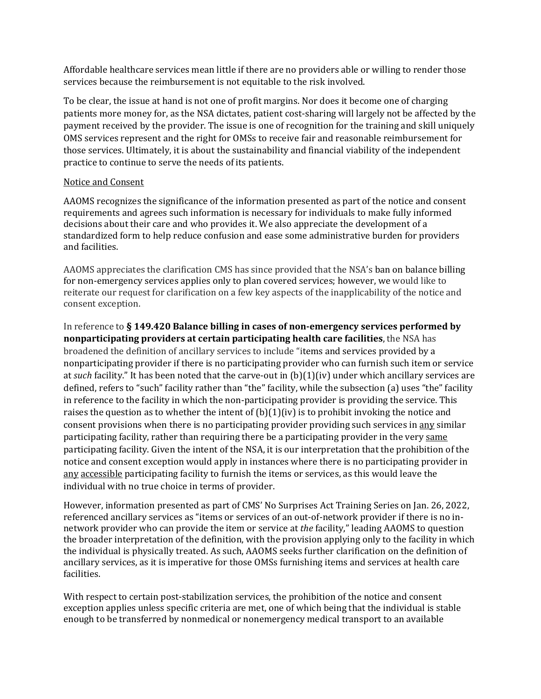Affordable healthcare services mean little if there are no providers able or willing to render those services because the reimbursement is not equitable to the risk involved.

To be clear, the issue at hand is not one of profit margins. Nor does it become one of charging patients more money for, as the NSA dictates, patient cost-sharing will largely not be affected by the payment received by the provider. The issue is one of recognition for the training and skill uniquely OMS services represent and the right for OMSs to receive fair and reasonable reimbursement for those services. Ultimately, it is about the sustainability and financial viability of the independent practice to continue to serve the needs of its patients.

## Notice and Consent

AAOMS recognizes the significance of the information presented as part of the notice and consent requirements and agrees such information is necessary for individuals to make fully informed decisions about their care and who provides it. We also appreciate the development of a standardized form to help reduce confusion and ease some administrative burden for providers and facilities.

AAOMS appreciates the clarification CMS has since provided that the NSA's ban on balance billing for non-emergency services applies only to plan covered services; however, we would like to reiterate our request for clarification on a few key aspects of the inapplicability of the notice and consent exception.

In reference to **§ 149.420 Balance billing in cases of non-emergency services performed by nonparticipating providers at certain participating health care facilities**, the NSA has broadened the definition of ancillary services to include "items and services provided by a nonparticipating provider if there is no participating provider who can furnish such item or service at *such* facility." It has been noted that the carve-out in (b)(1)(iv) under which ancillary services are defined, refers to "such" facility rather than "the" facility, while the subsection (a) uses "the" facility in reference to the facility in which the non-participating provider is providing the service. This raises the question as to whether the intent of  $(b)(1)(iv)$  is to prohibit invoking the notice and consent provisions when there is no participating provider providing such services in any similar participating facility, rather than requiring there be a participating provider in the very same participating facility. Given the intent of the NSA, it is our interpretation that the prohibition of the notice and consent exception would apply in instances where there is no participating provider in any accessible participating facility to furnish the items or services, as this would leave the individual with no true choice in terms of provider.

However, information presented as part of CMS' No Surprises Act Training Series on Jan. 26, 2022, referenced ancillary services as "items or services of an out-of-network provider if there is no innetwork provider who can provide the item or service at *the* facility," leading AAOMS to question the broader interpretation of the definition, with the provision applying only to the facility in which the individual is physically treated. As such, AAOMS seeks further clarification on the definition of ancillary services, as it is imperative for those OMSs furnishing items and services at health care facilities.

With respect to certain post-stabilization services, the prohibition of the notice and consent exception applies unless specific criteria are met, one of which being that the individual is stable enough to be transferred by nonmedical or nonemergency medical transport to an available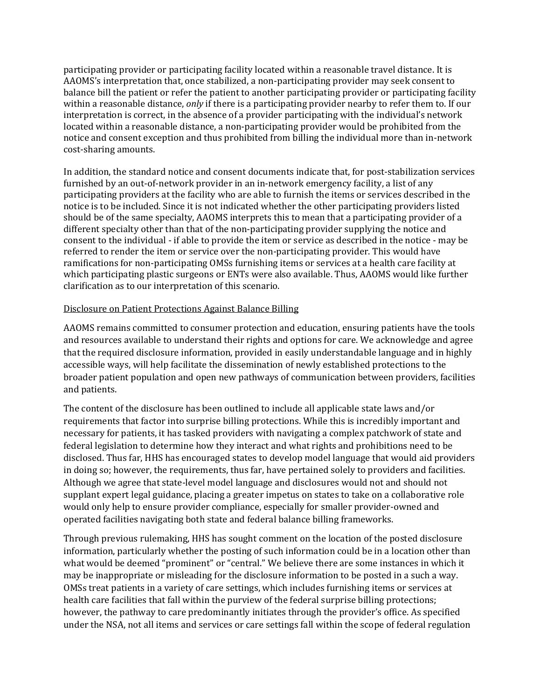participating provider or participating facility located within a reasonable travel distance. It is AAOMS's interpretation that, once stabilized, a non-participating provider may seek consent to balance bill the patient or refer the patient to another participating provider or participating facility within a reasonable distance, *only* if there is a participating provider nearby to refer them to. If our interpretation is correct, in the absence of a provider participating with the individual's network located within a reasonable distance, a non-participating provider would be prohibited from the notice and consent exception and thus prohibited from billing the individual more than in-network cost-sharing amounts.

In addition, the standard notice and consent documents indicate that, for post-stabilization services furnished by an out-of-network provider in an in-network emergency facility, a list of any participating providers at the facility who are able to furnish the items or services described in the notice is to be included. Since it is not indicated whether the other participating providers listed should be of the same specialty, AAOMS interprets this to mean that a participating provider of a different specialty other than that of the non-participating provider supplying the notice and consent to the individual - if able to provide the item or service as described in the notice - may be referred to render the item or service over the non-participating provider. This would have ramifications for non-participating OMSs furnishing items or services at a health care facility at which participating plastic surgeons or ENTs were also available. Thus, AAOMS would like further clarification as to our interpretation of this scenario.

## Disclosure on Patient Protections Against Balance Billing

AAOMS remains committed to consumer protection and education, ensuring patients have the tools and resources available to understand their rights and options for care. We acknowledge and agree that the required disclosure information, provided in easily understandable language and in highly accessible ways, will help facilitate the dissemination of newly established protections to the broader patient population and open new pathways of communication between providers, facilities and patients.

The content of the disclosure has been outlined to include all applicable state laws and/or requirements that factor into surprise billing protections. While this is incredibly important and necessary for patients, it has tasked providers with navigating a complex patchwork of state and federal legislation to determine how they interact and what rights and prohibitions need to be disclosed. Thus far, HHS has encouraged states to develop model language that would aid providers in doing so; however, the requirements, thus far, have pertained solely to providers and facilities. Although we agree that state-level model language and disclosures would not and should not supplant expert legal guidance, placing a greater impetus on states to take on a collaborative role would only help to ensure provider compliance, especially for smaller provider-owned and operated facilities navigating both state and federal balance billing frameworks.

Through previous rulemaking, HHS has sought comment on the location of the posted disclosure information, particularly whether the posting of such information could be in a location other than what would be deemed "prominent" or "central." We believe there are some instances in which it may be inappropriate or misleading for the disclosure information to be posted in a such a way. OMSs treat patients in a variety of care settings, which includes furnishing items or services at health care facilities that fall within the purview of the federal surprise billing protections; however, the pathway to care predominantly initiates through the provider's office. As specified under the NSA, not all items and services or care settings fall within the scope of federal regulation